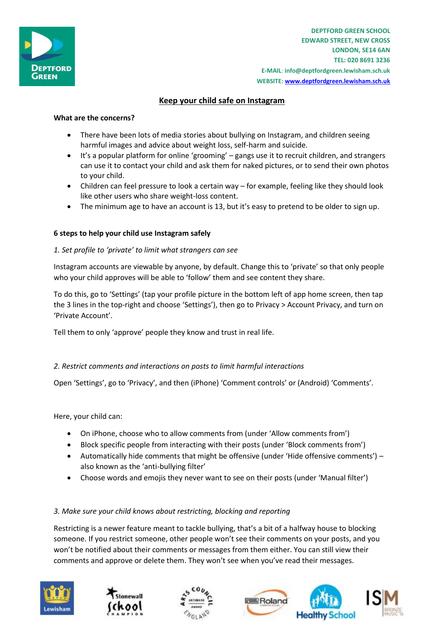

**DEPTFORD GREEN SCHOOL EDWARD STREET, NEW CROSS LONDON, SE14 6AN TEL: 020 8691 3236 E-MAIL**: **info@deptfordgreen.lewisham.sch.uk WEBSITE: www.deptfordgreen.lewisham.sch.uk**

# **Keep your child safe on Instagram**

### **What are the concerns?**

- There have been lots of media stories about bullying on Instagram, and children seeing harmful images and advice about weight loss, self-harm and suicide.
- It's a popular platform for online 'grooming' gangs use it to recruit children, and strangers can use it to contact your child and ask them for naked pictures, or to send their own photos to your child.
- Children can feel pressure to look a certain way for example, feeling like they should look like other users who share weight-loss content.
- The minimum age to have an account is 13, but it's easy to pretend to be older to sign up.

## **6 steps to help your child use Instagram safely**

## *1. Set profile to 'private' to limit what strangers can see*

Instagram accounts are viewable by anyone, by default. Change this to 'private' so that only people who your child approves will be able to 'follow' them and see content they share.

To do this, go to 'Settings' (tap your profile picture in the bottom left of app home screen, then tap the 3 lines in the top-right and choose 'Settings'), then go to Privacy > Account Privacy, and turn on 'Private Account'.

Tell them to only 'approve' people they know and trust in real life.

#### *2. Restrict comments and interactions on posts to limit harmful interactions*

Open 'Settings', go to 'Privacy', and then (iPhone) 'Comment controls' or (Android) 'Comments'.

Here, your child can:

- On iPhone, choose who to allow comments from (under 'Allow comments from')
- Block specific people from interacting with their posts (under 'Block comments from')
- Automatically hide comments that might be offensive (under 'Hide offensive comments') also known as the 'anti-bullying filter'
- Choose words and emojis they never want to see on their posts (under 'Manual filter')

#### *3. Make sure your child knows about restricting, blocking and reporting*

Restricting is a newer feature meant to tackle bullying, that's a bit of a halfway house to blocking someone. If you restrict someone, other people won't see their comments on your posts, and you won't be notified about their comments or messages from them either. You can still view their comments and approve or delete them. They won't see when you've read their messages.









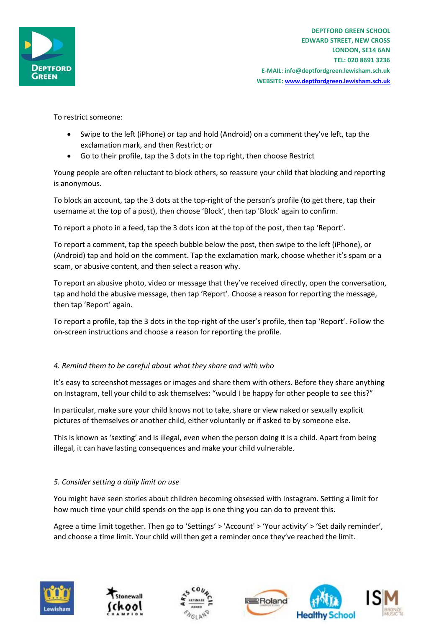

To restrict someone:

- Swipe to the left (iPhone) or tap and hold (Android) on a comment they've left, tap the exclamation mark, and then Restrict; or
- Go to their profile, tap the 3 dots in the top right, then choose Restrict

Young people are often reluctant to block others, so reassure your child that blocking and reporting is anonymous.

To block an account, tap the 3 dots at the top-right of the person's profile (to get there, tap their username at the top of a post), then choose 'Block', then tap 'Block' again to confirm.

To report a photo in a feed, tap the 3 dots icon at the top of the post, then tap 'Report'.

To report a comment, tap the speech bubble below the post, then swipe to the left (iPhone), or (Android) tap and hold on the comment. Tap the exclamation mark, choose whether it's spam or a scam, or abusive content, and then select a reason why.

To report an abusive photo, video or message that they've received directly, open the conversation, tap and hold the abusive message, then tap 'Report'. Choose a reason for reporting the message, then tap 'Report' again.

To report a profile, tap the 3 dots in the top-right of the user's profile, then tap 'Report'. Follow the on-screen instructions and choose a reason for reporting the profile.

#### *4. Remind them to be careful about what they share and with who*

It's easy to screenshot messages or images and share them with others. Before they share anything on Instagram, tell your child to ask themselves: "would I be happy for other people to see this?"

In particular, make sure your child knows not to take, share or view naked or sexually explicit pictures of themselves or another child, either voluntarily or if asked to by someone else.

This is known as 'sexting' and is illegal, even when the person doing it is a child. Apart from being illegal, it can have lasting consequences and make your child vulnerable.

#### *5. Consider setting a daily limit on use*

You might have seen stories about children becoming obsessed with Instagram. Setting a limit for how much time your child spends on the app is one thing you can do to prevent this.

Agree a time limit together. Then go to 'Settings' > 'Account' > 'Your activity' > 'Set daily reminder', and choose a time limit. Your child will then get a reminder once they've reached the limit.